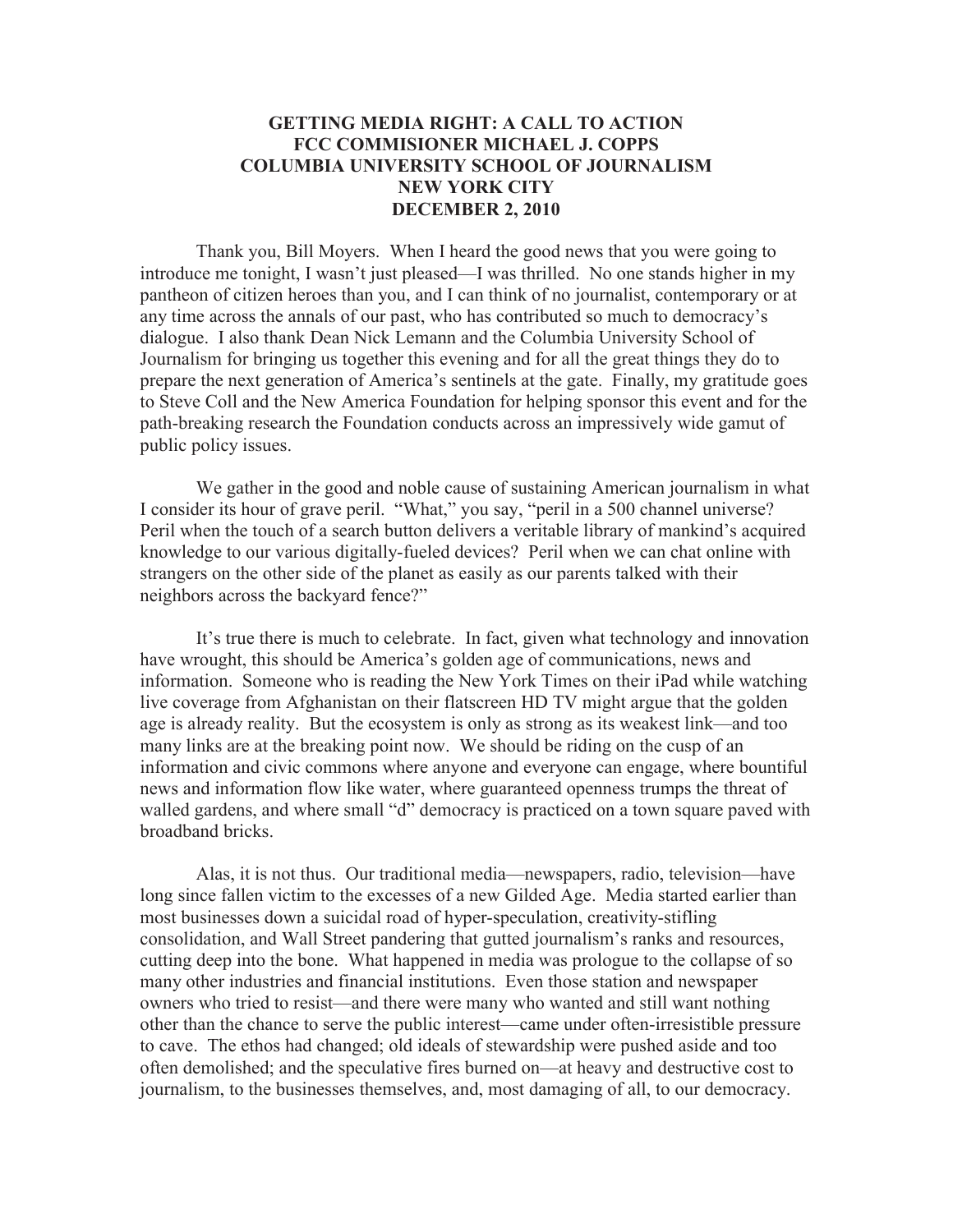## **GETTING MEDIA RIGHT: A CALL TO ACTION FCC COMMISIONER MICHAEL J. COPPS COLUMBIA UNIVERSITY SCHOOL OF JOURNALISM NEW YORK CITY DECEMBER 2, 2010**

Thank you, Bill Moyers. When I heard the good news that you were going to introduce me tonight, I wasn't just pleased—I was thrilled. No one stands higher in my pantheon of citizen heroes than you, and I can think of no journalist, contemporary or at any time across the annals of our past, who has contributed so much to democracy's dialogue. I also thank Dean Nick Lemann and the Columbia University School of Journalism for bringing us together this evening and for all the great things they do to prepare the next generation of America's sentinels at the gate. Finally, my gratitude goes to Steve Coll and the New America Foundation for helping sponsor this event and for the path-breaking research the Foundation conducts across an impressively wide gamut of public policy issues.

We gather in the good and noble cause of sustaining American journalism in what I consider its hour of grave peril. "What," you say, "peril in a 500 channel universe? Peril when the touch of a search button delivers a veritable library of mankind's acquired knowledge to our various digitally-fueled devices? Peril when we can chat online with strangers on the other side of the planet as easily as our parents talked with their neighbors across the backyard fence?"

It's true there is much to celebrate. In fact, given what technology and innovation have wrought, this should be America's golden age of communications, news and information. Someone who is reading the New York Times on their iPad while watching live coverage from Afghanistan on their flatscreen HD TV might argue that the golden age is already reality. But the ecosystem is only as strong as its weakest link—and too many links are at the breaking point now. We should be riding on the cusp of an information and civic commons where anyone and everyone can engage, where bountiful news and information flow like water, where guaranteed openness trumps the threat of walled gardens, and where small "d" democracy is practiced on a town square paved with broadband bricks.

Alas, it is not thus. Our traditional media—newspapers, radio, television—have long since fallen victim to the excesses of a new Gilded Age. Media started earlier than most businesses down a suicidal road of hyper-speculation, creativity-stifling consolidation, and Wall Street pandering that gutted journalism's ranks and resources, cutting deep into the bone. What happened in media was prologue to the collapse of so many other industries and financial institutions. Even those station and newspaper owners who tried to resist—and there were many who wanted and still want nothing other than the chance to serve the public interest—came under often-irresistible pressure to cave. The ethos had changed; old ideals of stewardship were pushed aside and too often demolished; and the speculative fires burned on—at heavy and destructive cost to journalism, to the businesses themselves, and, most damaging of all, to our democracy.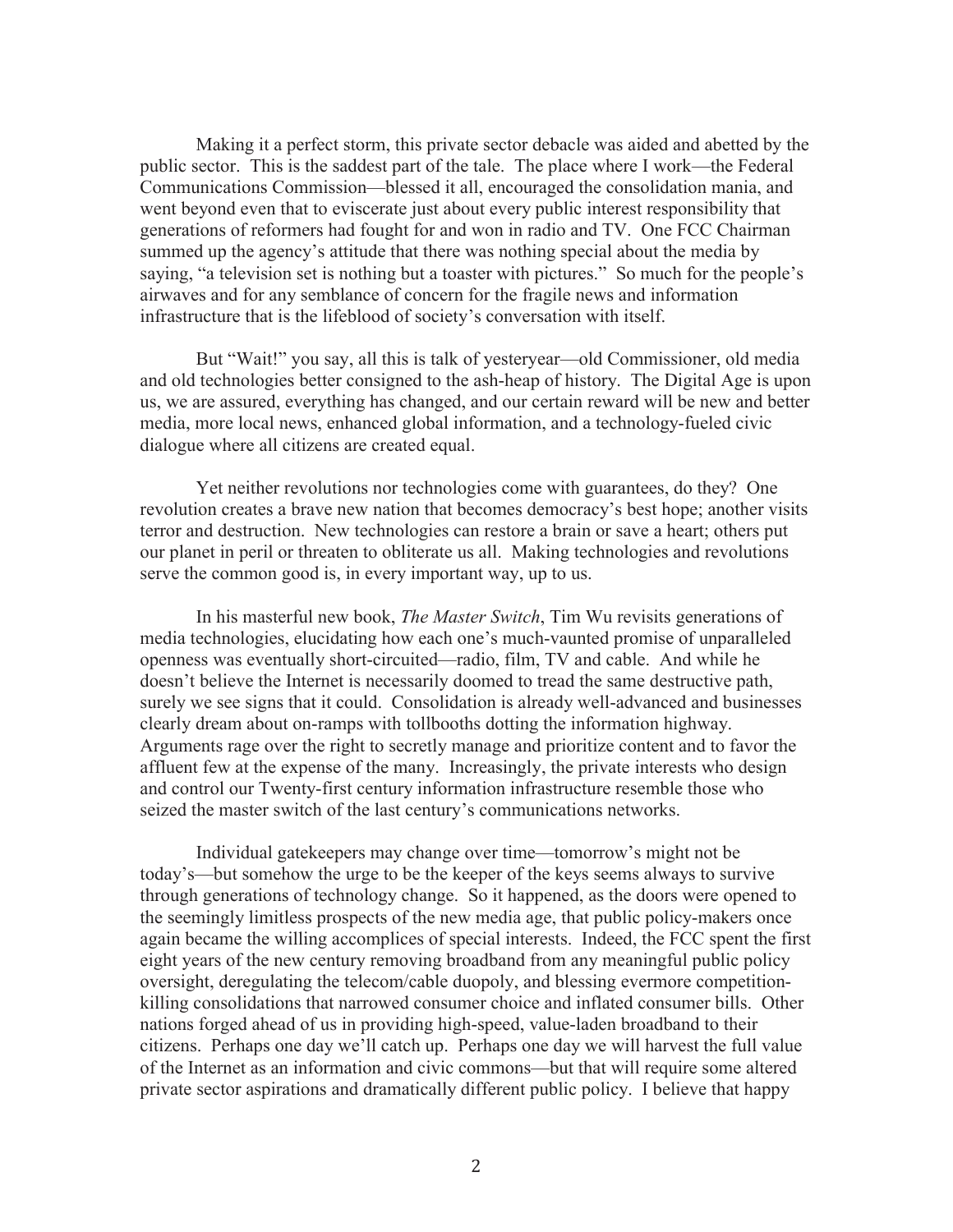Making it a perfect storm, this private sector debacle was aided and abetted by the public sector. This is the saddest part of the tale. The place where I work—the Federal Communications Commission—blessed it all, encouraged the consolidation mania, and went beyond even that to eviscerate just about every public interest responsibility that generations of reformers had fought for and won in radio and TV. One FCC Chairman summed up the agency's attitude that there was nothing special about the media by saying, "a television set is nothing but a toaster with pictures." So much for the people's airwaves and for any semblance of concern for the fragile news and information infrastructure that is the lifeblood of society's conversation with itself.

But "Wait!" you say, all this is talk of yesteryear—old Commissioner, old media and old technologies better consigned to the ash-heap of history. The Digital Age is upon us, we are assured, everything has changed, and our certain reward will be new and better media, more local news, enhanced global information, and a technology-fueled civic dialogue where all citizens are created equal.

Yet neither revolutions nor technologies come with guarantees, do they? One revolution creates a brave new nation that becomes democracy's best hope; another visits terror and destruction. New technologies can restore a brain or save a heart; others put our planet in peril or threaten to obliterate us all. Making technologies and revolutions serve the common good is, in every important way, up to us.

In his masterful new book, *The Master Switch*, Tim Wu revisits generations of media technologies, elucidating how each one's much-vaunted promise of unparalleled openness was eventually short-circuited—radio, film, TV and cable. And while he doesn't believe the Internet is necessarily doomed to tread the same destructive path, surely we see signs that it could. Consolidation is already well-advanced and businesses clearly dream about on-ramps with tollbooths dotting the information highway. Arguments rage over the right to secretly manage and prioritize content and to favor the affluent few at the expense of the many. Increasingly, the private interests who design and control our Twenty-first century information infrastructure resemble those who seized the master switch of the last century's communications networks.

Individual gatekeepers may change over time—tomorrow's might not be today's—but somehow the urge to be the keeper of the keys seems always to survive through generations of technology change. So it happened, as the doors were opened to the seemingly limitless prospects of the new media age, that public policy-makers once again became the willing accomplices of special interests. Indeed, the FCC spent the first eight years of the new century removing broadband from any meaningful public policy oversight, deregulating the telecom/cable duopoly, and blessing evermore competitionkilling consolidations that narrowed consumer choice and inflated consumer bills. Other nations forged ahead of us in providing high-speed, value-laden broadband to their citizens. Perhaps one day we'll catch up. Perhaps one day we will harvest the full value of the Internet as an information and civic commons—but that will require some altered private sector aspirations and dramatically different public policy. I believe that happy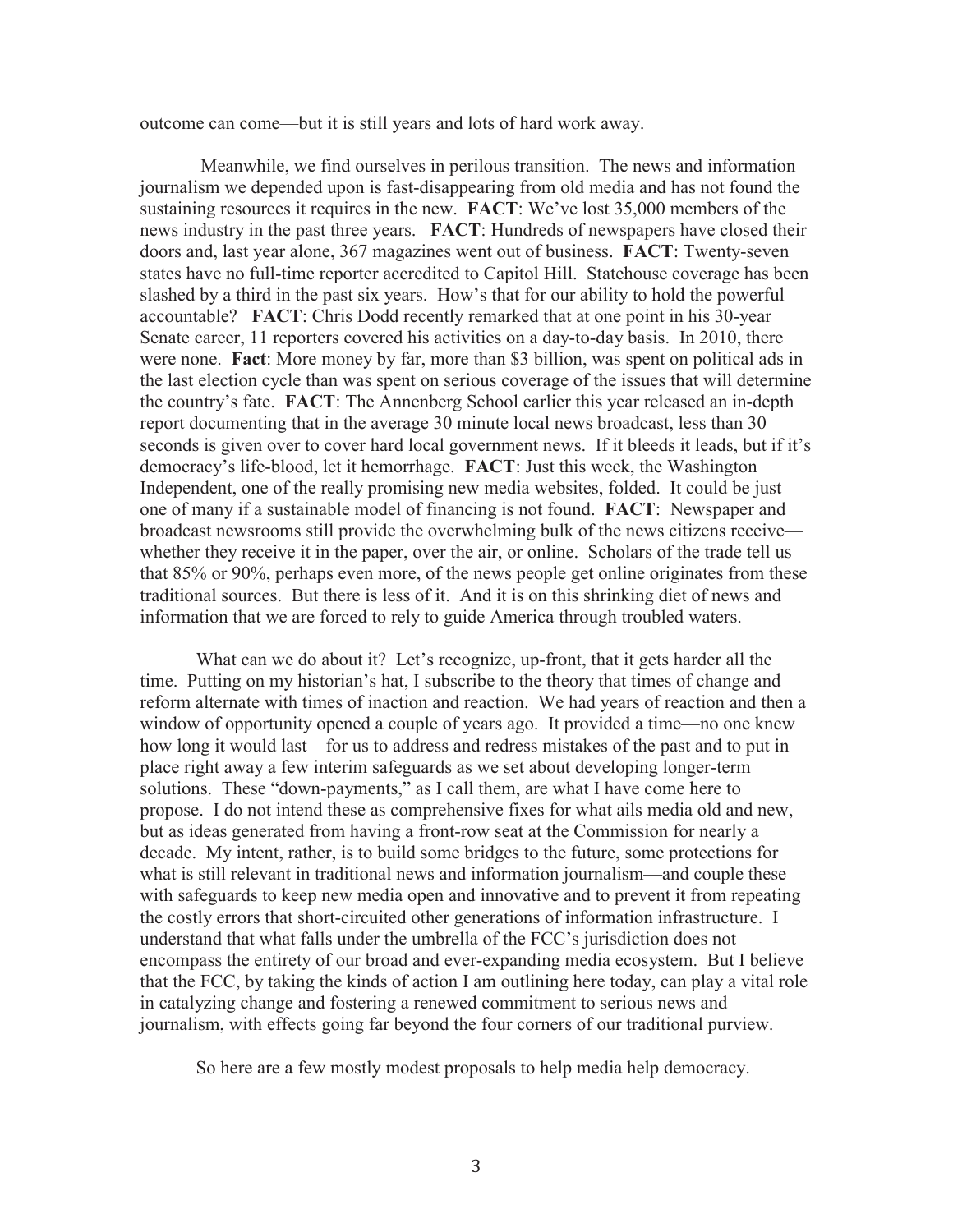outcome can come—but it is still years and lots of hard work away.

Meanwhile, we find ourselves in perilous transition. The news and information journalism we depended upon is fast-disappearing from old media and has not found the sustaining resources it requires in the new. **FACT**: We've lost 35,000 members of the news industry in the past three years. **FACT**: Hundreds of newspapers have closed their doors and, last year alone, 367 magazines went out of business. **FACT**: Twenty-seven states have no full-time reporter accredited to Capitol Hill. Statehouse coverage has been slashed by a third in the past six years. How's that for our ability to hold the powerful accountable? **FACT**: Chris Dodd recently remarked that at one point in his 30-year Senate career, 11 reporters covered his activities on a day-to-day basis. In 2010, there were none. **Fact**: More money by far, more than \$3 billion, was spent on political ads in the last election cycle than was spent on serious coverage of the issues that will determine the country's fate. **FACT**: The Annenberg School earlier this year released an in-depth report documenting that in the average 30 minute local news broadcast, less than 30 seconds is given over to cover hard local government news. If it bleeds it leads, but if it's democracy's life-blood, let it hemorrhage. **FACT**: Just this week, the Washington Independent, one of the really promising new media websites, folded. It could be just one of many if a sustainable model of financing is not found. **FACT**: Newspaper and broadcast newsrooms still provide the overwhelming bulk of the news citizens receive whether they receive it in the paper, over the air, or online. Scholars of the trade tell us that 85% or 90%, perhaps even more, of the news people get online originates from these traditional sources. But there is less of it. And it is on this shrinking diet of news and information that we are forced to rely to guide America through troubled waters.

What can we do about it? Let's recognize, up-front, that it gets harder all the time. Putting on my historian's hat, I subscribe to the theory that times of change and reform alternate with times of inaction and reaction. We had years of reaction and then a window of opportunity opened a couple of years ago. It provided a time—no one knew how long it would last—for us to address and redress mistakes of the past and to put in place right away a few interim safeguards as we set about developing longer-term solutions. These "down-payments," as I call them, are what I have come here to propose. I do not intend these as comprehensive fixes for what ails media old and new, but as ideas generated from having a front-row seat at the Commission for nearly a decade. My intent, rather, is to build some bridges to the future, some protections for what is still relevant in traditional news and information journalism—and couple these with safeguards to keep new media open and innovative and to prevent it from repeating the costly errors that short-circuited other generations of information infrastructure. I understand that what falls under the umbrella of the FCC's jurisdiction does not encompass the entirety of our broad and ever-expanding media ecosystem. But I believe that the FCC, by taking the kinds of action I am outlining here today, can play a vital role in catalyzing change and fostering a renewed commitment to serious news and journalism, with effects going far beyond the four corners of our traditional purview.

So here are a few mostly modest proposals to help media help democracy.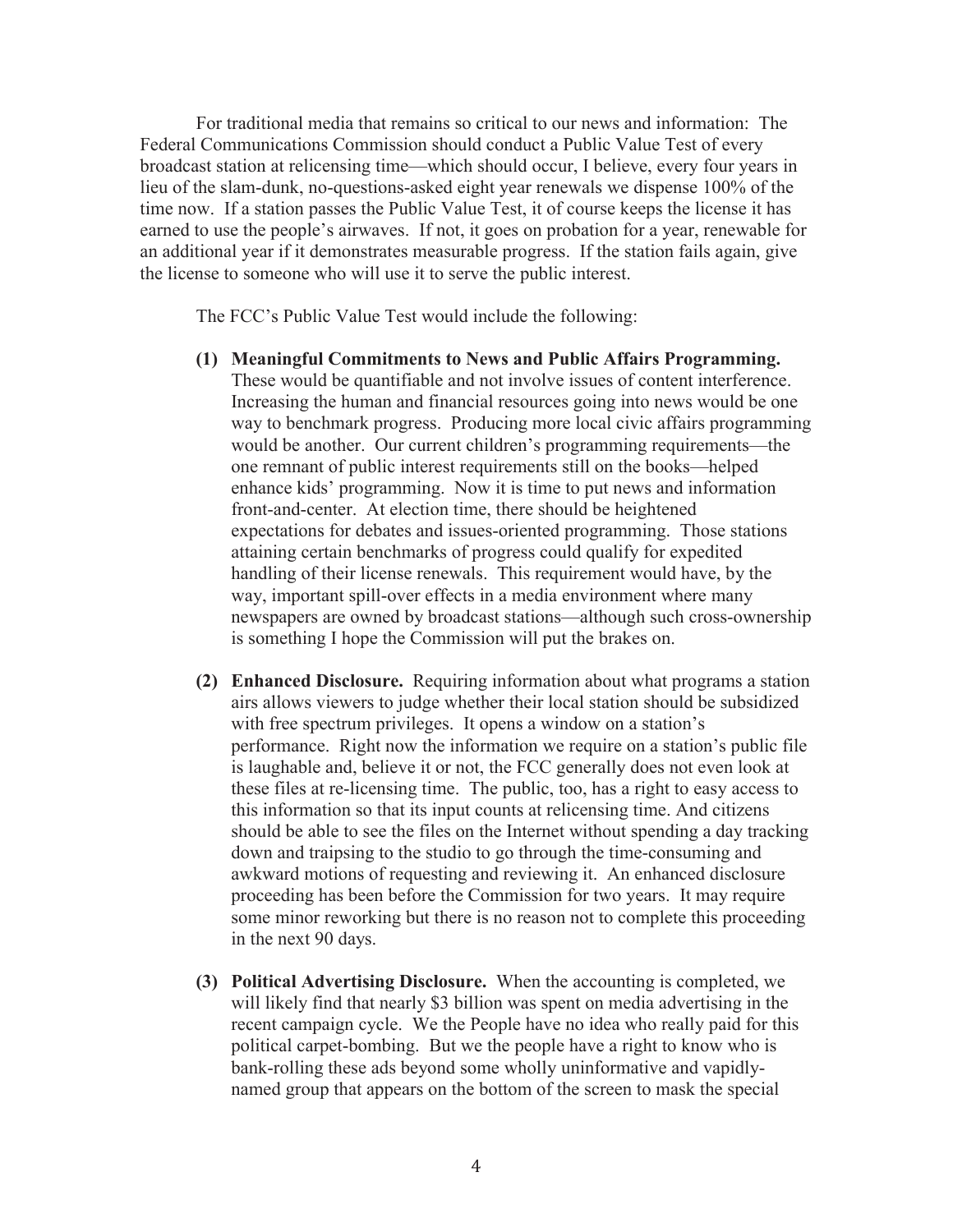For traditional media that remains so critical to our news and information: The Federal Communications Commission should conduct a Public Value Test of every broadcast station at relicensing time—which should occur, I believe, every four years in lieu of the slam-dunk, no-questions-asked eight year renewals we dispense 100% of the time now. If a station passes the Public Value Test, it of course keeps the license it has earned to use the people's airwaves. If not, it goes on probation for a year, renewable for an additional year if it demonstrates measurable progress. If the station fails again, give the license to someone who will use it to serve the public interest.

The FCC's Public Value Test would include the following:

- **(1) Meaningful Commitments to News and Public Affairs Programming.** These would be quantifiable and not involve issues of content interference. Increasing the human and financial resources going into news would be one way to benchmark progress. Producing more local civic affairs programming would be another. Our current children's programming requirements—the one remnant of public interest requirements still on the books—helped enhance kids' programming. Now it is time to put news and information front-and-center. At election time, there should be heightened expectations for debates and issues-oriented programming. Those stations attaining certain benchmarks of progress could qualify for expedited handling of their license renewals. This requirement would have, by the way, important spill-over effects in a media environment where many newspapers are owned by broadcast stations—although such cross-ownership is something I hope the Commission will put the brakes on.
- **(2) Enhanced Disclosure.** Requiring information about what programs a station airs allows viewers to judge whether their local station should be subsidized with free spectrum privileges. It opens a window on a station's performance. Right now the information we require on a station's public file is laughable and, believe it or not, the FCC generally does not even look at these files at re-licensing time. The public, too, has a right to easy access to this information so that its input counts at relicensing time. And citizens should be able to see the files on the Internet without spending a day tracking down and traipsing to the studio to go through the time-consuming and awkward motions of requesting and reviewing it. An enhanced disclosure proceeding has been before the Commission for two years. It may require some minor reworking but there is no reason not to complete this proceeding in the next 90 days.
- **(3) Political Advertising Disclosure.** When the accounting is completed, we will likely find that nearly \$3 billion was spent on media advertising in the recent campaign cycle. We the People have no idea who really paid for this political carpet-bombing. But we the people have a right to know who is bank-rolling these ads beyond some wholly uninformative and vapidlynamed group that appears on the bottom of the screen to mask the special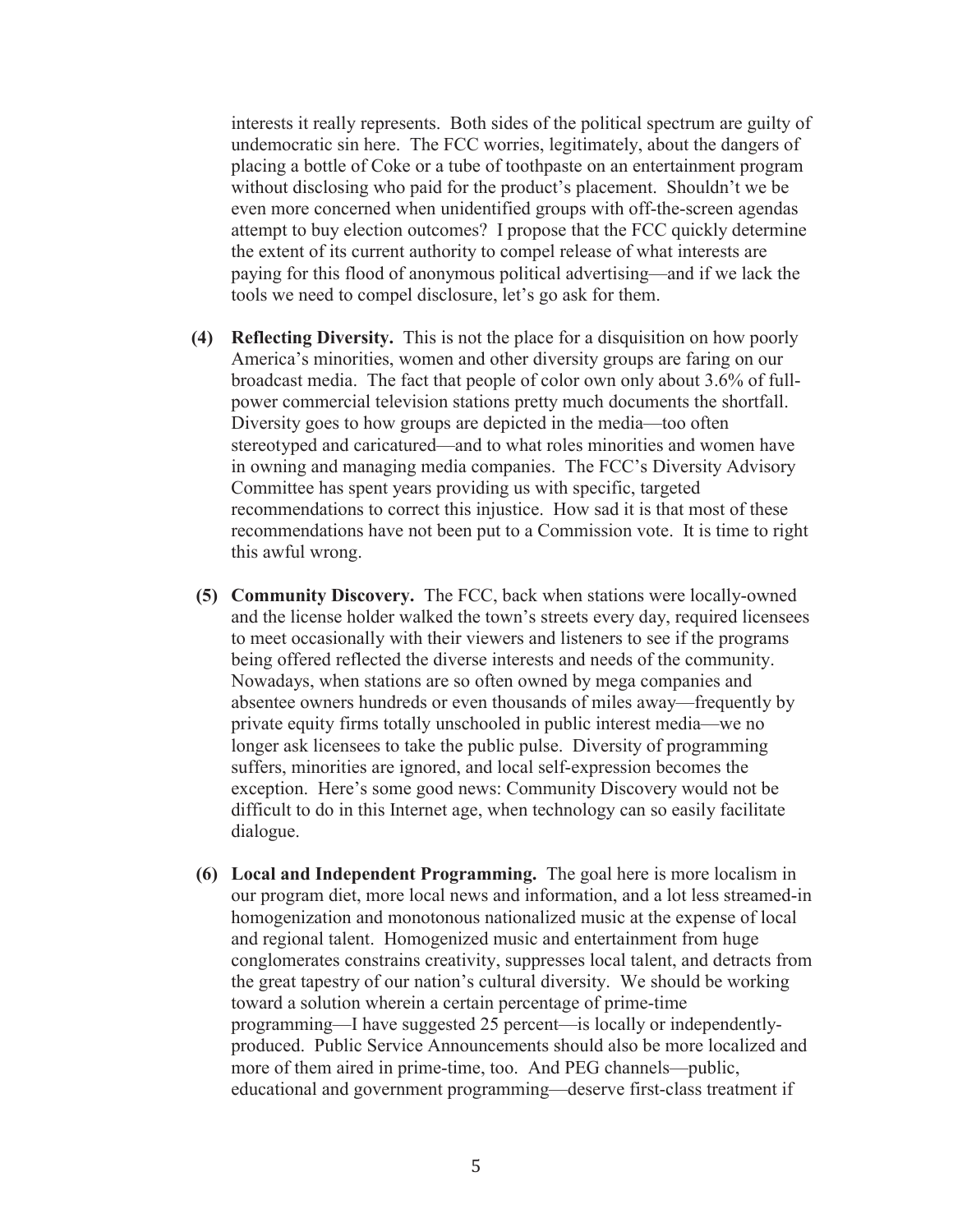interests it really represents. Both sides of the political spectrum are guilty of undemocratic sin here. The FCC worries, legitimately, about the dangers of placing a bottle of Coke or a tube of toothpaste on an entertainment program without disclosing who paid for the product's placement. Shouldn't we be even more concerned when unidentified groups with off-the-screen agendas attempt to buy election outcomes? I propose that the FCC quickly determine the extent of its current authority to compel release of what interests are paying for this flood of anonymous political advertising—and if we lack the tools we need to compel disclosure, let's go ask for them.

- **(4) Reflecting Diversity.** This is not the place for a disquisition on how poorly America's minorities, women and other diversity groups are faring on our broadcast media. The fact that people of color own only about 3.6% of fullpower commercial television stations pretty much documents the shortfall. Diversity goes to how groups are depicted in the media—too often stereotyped and caricatured—and to what roles minorities and women have in owning and managing media companies. The FCC's Diversity Advisory Committee has spent years providing us with specific, targeted recommendations to correct this injustice. How sad it is that most of these recommendations have not been put to a Commission vote. It is time to right this awful wrong.
- **(5) Community Discovery.** The FCC, back when stations were locally-owned and the license holder walked the town's streets every day, required licensees to meet occasionally with their viewers and listeners to see if the programs being offered reflected the diverse interests and needs of the community. Nowadays, when stations are so often owned by mega companies and absentee owners hundreds or even thousands of miles away—frequently by private equity firms totally unschooled in public interest media—we no longer ask licensees to take the public pulse. Diversity of programming suffers, minorities are ignored, and local self-expression becomes the exception. Here's some good news: Community Discovery would not be difficult to do in this Internet age, when technology can so easily facilitate dialogue.
- **(6) Local and Independent Programming.** The goal here is more localism in our program diet, more local news and information, and a lot less streamed-in homogenization and monotonous nationalized music at the expense of local and regional talent. Homogenized music and entertainment from huge conglomerates constrains creativity, suppresses local talent, and detracts from the great tapestry of our nation's cultural diversity. We should be working toward a solution wherein a certain percentage of prime-time programming—I have suggested 25 percent—is locally or independentlyproduced. Public Service Announcements should also be more localized and more of them aired in prime-time, too. And PEG channels—public, educational and government programming—deserve first-class treatment if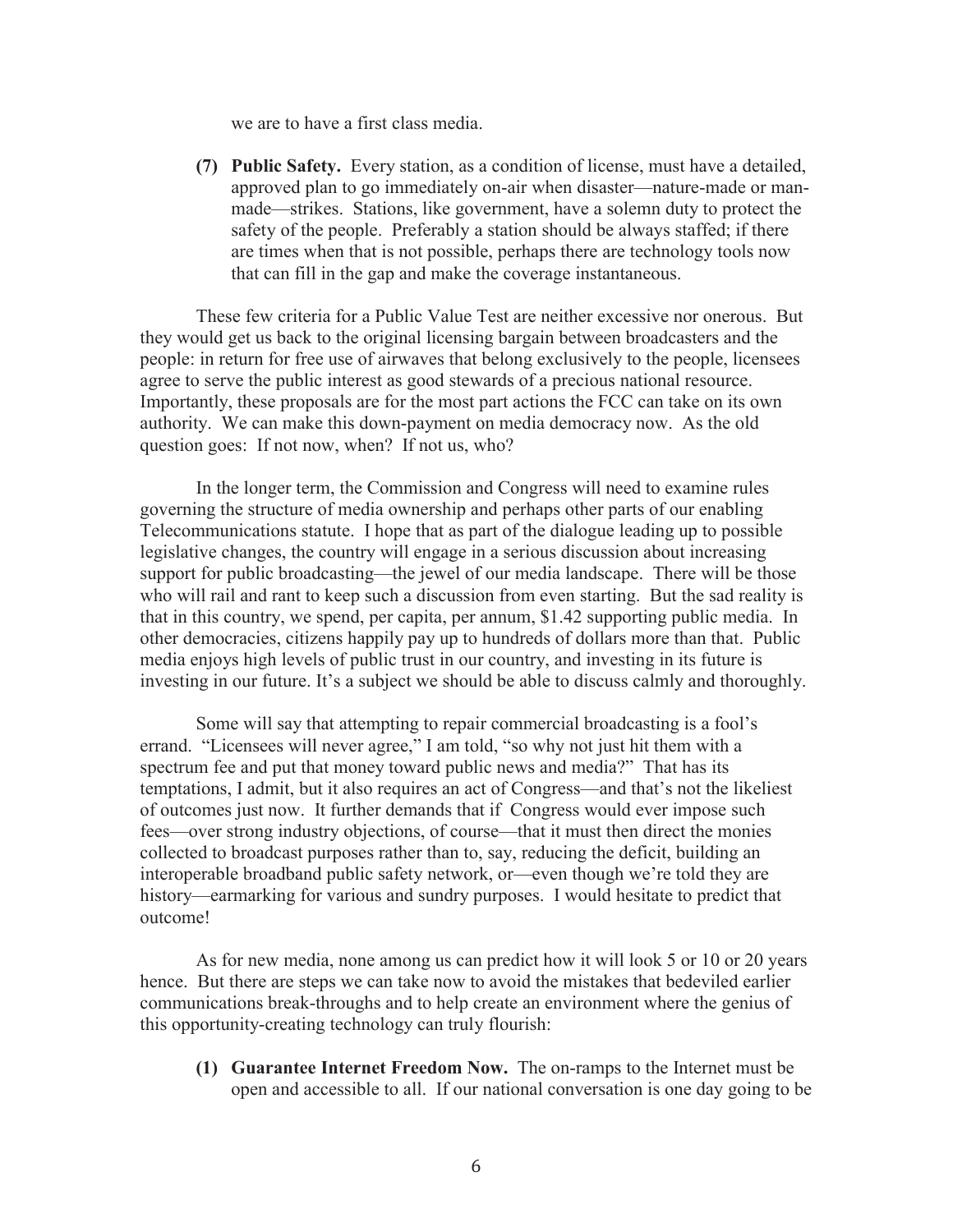we are to have a first class media.

**(7) Public Safety.** Every station, as a condition of license, must have a detailed, approved plan to go immediately on-air when disaster—nature-made or manmade—strikes. Stations, like government, have a solemn duty to protect the safety of the people. Preferably a station should be always staffed; if there are times when that is not possible, perhaps there are technology tools now that can fill in the gap and make the coverage instantaneous.

These few criteria for a Public Value Test are neither excessive nor onerous. But they would get us back to the original licensing bargain between broadcasters and the people: in return for free use of airwaves that belong exclusively to the people, licensees agree to serve the public interest as good stewards of a precious national resource. Importantly, these proposals are for the most part actions the FCC can take on its own authority. We can make this down-payment on media democracy now. As the old question goes: If not now, when? If not us, who?

In the longer term, the Commission and Congress will need to examine rules governing the structure of media ownership and perhaps other parts of our enabling Telecommunications statute. I hope that as part of the dialogue leading up to possible legislative changes, the country will engage in a serious discussion about increasing support for public broadcasting—the jewel of our media landscape. There will be those who will rail and rant to keep such a discussion from even starting. But the sad reality is that in this country, we spend, per capita, per annum, \$1.42 supporting public media. In other democracies, citizens happily pay up to hundreds of dollars more than that. Public media enjoys high levels of public trust in our country, and investing in its future is investing in our future. It's a subject we should be able to discuss calmly and thoroughly.

Some will say that attempting to repair commercial broadcasting is a fool's errand. "Licensees will never agree," I am told, "so why not just hit them with a spectrum fee and put that money toward public news and media?" That has its temptations, I admit, but it also requires an act of Congress—and that's not the likeliest of outcomes just now. It further demands that if Congress would ever impose such fees—over strong industry objections, of course—that it must then direct the monies collected to broadcast purposes rather than to, say, reducing the deficit, building an interoperable broadband public safety network, or—even though we're told they are history—earmarking for various and sundry purposes. I would hesitate to predict that outcome!

As for new media, none among us can predict how it will look 5 or 10 or 20 years hence. But there are steps we can take now to avoid the mistakes that bedeviled earlier communications break-throughs and to help create an environment where the genius of this opportunity-creating technology can truly flourish:

**(1) Guarantee Internet Freedom Now.** The on-ramps to the Internet must be open and accessible to all. If our national conversation is one day going to be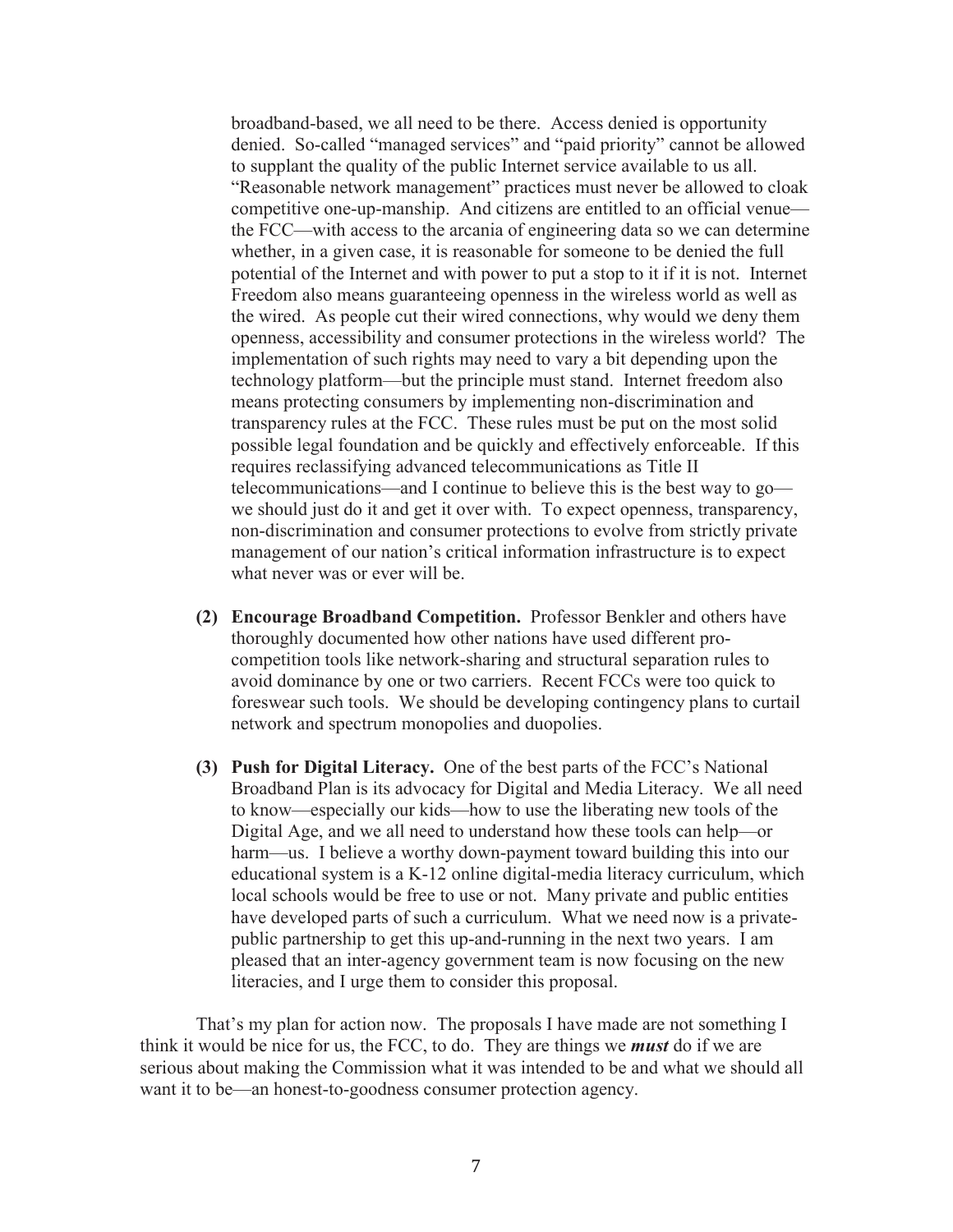broadband-based, we all need to be there. Access denied is opportunity denied. So-called "managed services" and "paid priority" cannot be allowed to supplant the quality of the public Internet service available to us all. "Reasonable network management" practices must never be allowed to cloak competitive one-up-manship. And citizens are entitled to an official venue the FCC—with access to the arcania of engineering data so we can determine whether, in a given case, it is reasonable for someone to be denied the full potential of the Internet and with power to put a stop to it if it is not. Internet Freedom also means guaranteeing openness in the wireless world as well as the wired. As people cut their wired connections, why would we deny them openness, accessibility and consumer protections in the wireless world? The implementation of such rights may need to vary a bit depending upon the technology platform—but the principle must stand. Internet freedom also means protecting consumers by implementing non-discrimination and transparency rules at the FCC. These rules must be put on the most solid possible legal foundation and be quickly and effectively enforceable. If this requires reclassifying advanced telecommunications as Title II telecommunications—and I continue to believe this is the best way to go we should just do it and get it over with. To expect openness, transparency, non-discrimination and consumer protections to evolve from strictly private management of our nation's critical information infrastructure is to expect what never was or ever will be.

- **(2) Encourage Broadband Competition.** Professor Benkler and others have thoroughly documented how other nations have used different procompetition tools like network-sharing and structural separation rules to avoid dominance by one or two carriers. Recent FCCs were too quick to foreswear such tools. We should be developing contingency plans to curtail network and spectrum monopolies and duopolies.
- **(3) Push for Digital Literacy.** One of the best parts of the FCC's National Broadband Plan is its advocacy for Digital and Media Literacy. We all need to know—especially our kids—how to use the liberating new tools of the Digital Age, and we all need to understand how these tools can help—or harm—us. I believe a worthy down-payment toward building this into our educational system is a K-12 online digital-media literacy curriculum, which local schools would be free to use or not. Many private and public entities have developed parts of such a curriculum. What we need now is a privatepublic partnership to get this up-and-running in the next two years. I am pleased that an inter-agency government team is now focusing on the new literacies, and I urge them to consider this proposal.

That's my plan for action now. The proposals I have made are not something I think it would be nice for us, the FCC, to do. They are things we *must* do if we are serious about making the Commission what it was intended to be and what we should all want it to be—an honest-to-goodness consumer protection agency.